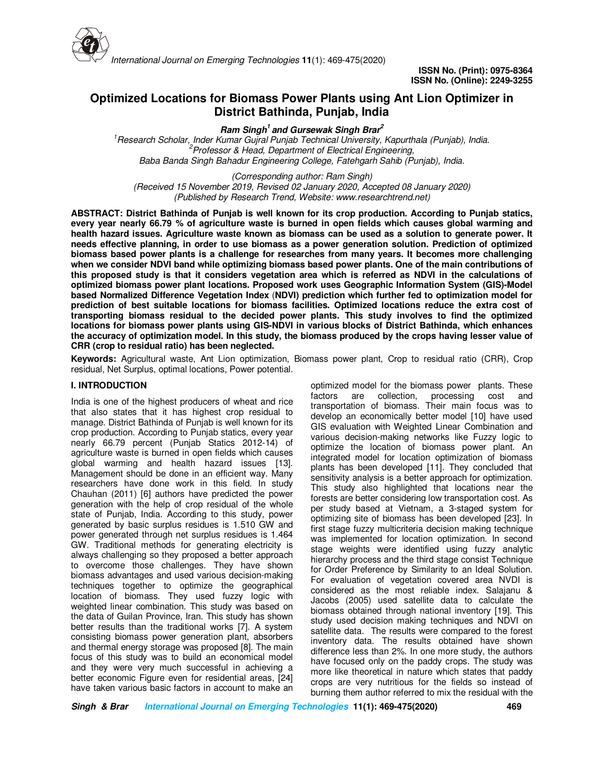

# **Optimized Locations for Biomass Power Plants using Ant Lion Optimizer in District Bathinda, Punjab, India**

**Ram Singh<sup>1</sup>and Gursewak Singh Brar<sup>2</sup>**

*<sup>1</sup>Research Scholar, Inder Kumar Gujral Punjab Technical University, Kapurthala (Punjab), India. <sup>2</sup>Professor & Head, Department of Electrical Engineering, Baba Banda Singh Bahadur Engineering College, Fatehgarh Sahib (Punjab), India.*

*(Corresponding author: Ram Singh) (Received 15 November 2019, Revised 02 January 2020, Accepted 08 January 2020) (Published by Research Trend, Website: www.researchtrend.net)*

**ABSTRACT: District Bathinda of Punjab is well known for its crop production. According to Punjab statics, every year nearly 66.79 % of agriculture waste is burned in open fields which causes global warming and health hazard issues. Agriculture waste known as biomass can be used as a solution to generate power. It needs effective planning, in order to use biomass as a power generation solution. Prediction of optimized biomass based power plants is a challenge for researches from many years. It becomes more challenging when we consider NDVI band while optimizing biomass based power plants. One of the main contributions of this proposed study is that it considers vegetation area which is referred as NDVI in the calculations of optimized biomass power plant locations. Proposed work uses Geographic Information System (GIS)-Model based Normalized Difference Vegetation Index** (**NDVI) prediction which further fed to optimization model for prediction of best suitable locations for biomass facilities. Optimized locations reduce the extra cost of transporting biomass residual to the decided power plants. This study involves to find the optimized locations for biomass power plants using GIS-NDVI in various blocks of District Bathinda, which enhances the accuracy of optimization model. In this study, the biomass produced by the crops having lesser value of CRR (crop to residual ratio) has been neglected.** 

**Keywords:** Agricultural waste, Ant Lion optimization, Biomass power plant, Crop to residual ratio (CRR), Crop residual, Net Surplus, optimal locations, Power potential.

# **I. INTRODUCTION**

India is one of the highest producers of wheat and rice that also states that it has highest crop residual to manage. District Bathinda of Punjab is well known for its crop production. According to Punjab statics, every year nearly 66.79 percent (Punjab Statics 2012-14) of agriculture waste is burned in open fields which causes global warming and health hazard issues [13]. Management should be done in an efficient way. Many researchers have done work in this field. In study Chauhan (2011) [6] authors have predicted the power generation with the help of crop residual of the whole state of Punjab, India. According to this study, power generated by basic surplus residues is 1.510 GW and power generated through net surplus residues is 1.464 GW. Traditional methods for generating electricity is always challenging so they proposed a better approach to overcome those challenges. They have shown biomass advantages and used various decision-making techniques together to optimize the geographical location of biomass. They used fuzzy logic with weighted linear combination. This study was based on the data of Guilan Province, Iran. This study has shown better results than the traditional works [7]. A system consisting biomass power generation plant, absorbers and thermal energy storage was proposed [8]. The main focus of this study was to build an economical model and they were very much successful in achieving a better economic Figure even for residential areas, [24] have taken various basic factors in account to make an optimized model for the biomass power plants. These factors are collection, processing cost and transportation of biomass. Their main focus was to develop an economically better model [10] have used GIS evaluation with Weighted Linear Combination and various decision-making networks like Fuzzy logic to optimize the location of biomass power plant. An integrated model for location optimization of biomass plants has been developed [11]. They concluded that sensitivity analysis is a better approach for optimization. This study also highlighted that locations near the forests are better considering low transportation cost. As per study based at Vietnam, a 3-staged system for optimizing site of biomass has been developed [23]. In first stage fuzzy multicriteria decision making technique was implemented for location optimization. In second stage weights were identified using fuzzy analytic hierarchy process and the third stage consist Technique for Order Preference by Similarity to an Ideal Solution. For evaluation of vegetation covered area NVDI is considered as the most reliable index. Salajanu & Jacobs (2005) used satellite data to calculate the biomass obtained through national inventory [19]. This study used decision making techniques and NDVI on satellite data. The results were compared to the forest inventory data. The results obtained have shown difference less than 2%. In one more study, the authors have focused only on the paddy crops. The study was more like theoretical in nature which states that paddy crops are very nutritious for the fields so instead of burning them author referred to mix the residual with the

**Singh & Brar International Journal on Emerging Technologies 11(1): 469-475(2020) 469**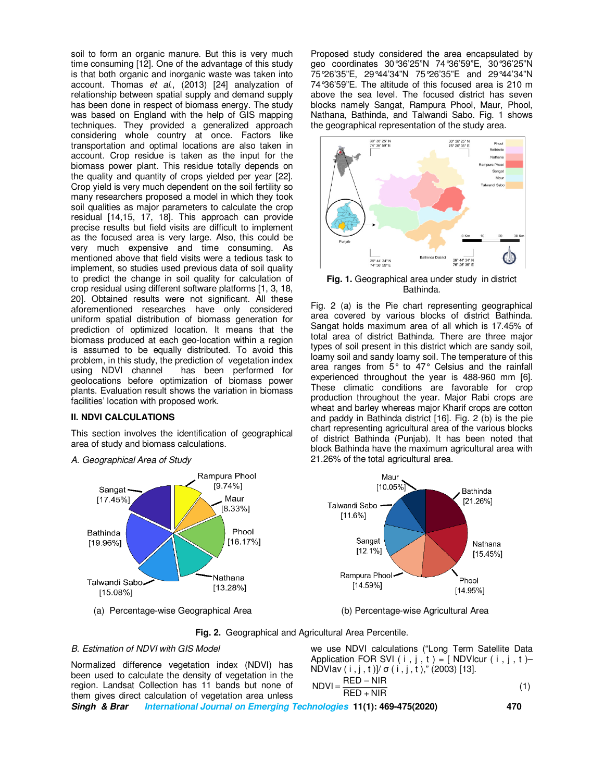soil to form an organic manure. But this is very much time consuming [12]. One of the advantage of this study is that both organic and inorganic waste was taken into account. Thomas *et al*., (2013) [24] analyzation of relationship between spatial supply and demand supply has been done in respect of biomass energy. The study was based on England with the help of GIS mapping techniques. They provided a generalized approach considering whole country at once. Factors like transportation and optimal locations are also taken in account. Crop residue is taken as the input for the biomass power plant. This residue totally depends on the quality and quantity of crops yielded per year [22]. Crop yield is very much dependent on the soil fertility so many researchers proposed a model in which they took soil qualities as major parameters to calculate the crop residual [14,15, 17, 18]. This approach can provide precise results but field visits are difficult to implement as the focused area is very large. Also, this could be very much expensive and time consuming. As mentioned above that field visits were a tedious task to implement, so studies used previous data of soil quality to predict the change in soil quality for calculation of crop residual using different software platforms [1, 3, 18, 20]. Obtained results were not significant. All these aforementioned researches have only considered uniform spatial distribution of biomass generation for prediction of optimized location. It means that the biomass produced at each geo-location within a region is assumed to be equally distributed. To avoid this problem, in this study, the prediction of vegetation index using NDVI channel has been performed for geolocations before optimization of biomass power plants. Evaluation result shows the variation in biomass facilities' location with proposed work.

#### **II. NDVI CALCULATIONS**

This section involves the identification of geographical area of study and biomass calculations.

Rampura Phool  $[9.74%]$ Sangat · Maur  $[17.45\%]$  $[8.33\%]$ Phool Bathinda  $[16.17\%]$  $[19.96\%]$ Nathana Talwandi Sabo  $[13.28\%]$  $[15.08\%]$ 

*A. Geographical Area of Study* 

(a) Percentage-wise Geographical Area (b) Percentage-wise Agricultural Area

Proposed study considered the area encapsulated by geo coordinates 30°36'25"N 74°36'59"E, 30°36'25"N 75°26'35"E, 29°44'34"N 75°26'35"E and 29°44'34"N 74°36'59"E. The altitude of this focused area is 210 m above the sea level. The focused district has seven blocks namely Sangat, Rampura Phool, Maur, Phool, Nathana, Bathinda, and Talwandi Sabo. Fig. 1 shows the geographical representation of the study area.



**Fig. 1.** Geographical area under study in district Bathinda.

Fig. 2 (a) is the Pie chart representing geographical area covered by various blocks of district Bathinda. Sangat holds maximum area of all which is 17.45% of total area of district Bathinda. There are three major types of soil present in this district which are sandy soil, loamy soil and sandy loamy soil. The temperature of this area ranges from 5° to 47° Celsius and the rainfall experienced throughout the year is 488-960 mm [6]. These climatic conditions are favorable for crop production throughout the year. Major Rabi crops are wheat and barley whereas major Kharif crops are cotton and paddy in Bathinda district [16]. Fig. 2 (b) is the pie chart representing agricultural area of the various blocks of district Bathinda (Punjab). It has been noted that block Bathinda have the maximum agricultural area with 21.26% of the total agricultural area.



**Fig. 2.** Geographical and Agricultural Area Percentile.

#### *B. Estimation of NDVI with GIS Model*

Normalized difference vegetation index (NDVI) has been used to calculate the density of vegetation in the region. Landsat Collection has 11 bands but none of them gives direct calculation of vegetation area unless we use NDVI calculations ("Long Term Satellite Data Application FOR SVI ( i , j , t ) =  $[$  NDVIcur ( i , j , t )– NDVIav  $(i, j, t)$ ]/ σ  $(i, j, t)$ ," (2003) [13].  $NDVI = \frac{RED - NIR}{2}$  (1) RED + NIR

**Singh & Brar International Journal on Emerging Technologies 11(1): 469-475(2020) 470**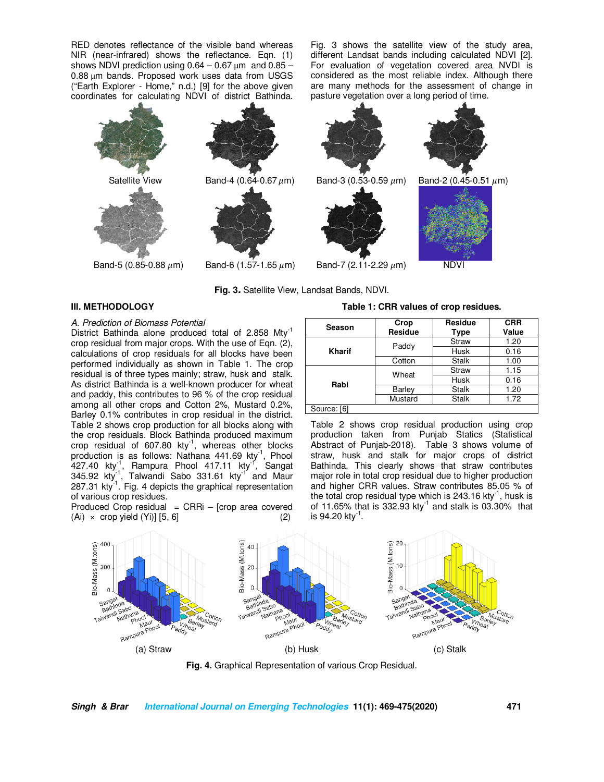RED denotes reflectance of the visible band whereas NIR (near-infrared) shows the reflectance. Eqn. (1) shows NDVI prediction using  $0.64 - 0.67 \,\mu m$  and  $0.85 -$ 0.88 μm bands. Proposed work uses data from USGS ("Earth Explorer - Home," n.d.) [9] for the above given coordinates for calculating NDVI of district Bathinda.

Fig. 3 shows the satellite view of the study area, different Landsat bands including calculated NDVI [2]. For evaluation of vegetation covered area NVDI is considered as the most reliable index. Although there are many methods for the assessment of change in pasture vegetation over a long period of time.



**Fig. 3.** Satellite View, Landsat Bands, NDVI.

#### **III. METHODOLOGY**

#### *A. Prediction of Biomass Potential*

District Bathinda alone produced total of 2.858 Mty<sup>-1</sup> crop residual from major crops. With the use of Eqn. (2), calculations of crop residuals for all blocks have been performed individually as shown in Table 1. The crop residual is of three types mainly; straw, husk and stalk. As district Bathinda is a well-known producer for wheat and paddy, this contributes to 96 % of the crop residual among all other crops and Cotton 2%, Mustard 0.2%, Barley 0.1% contributes in crop residual in the district. Table 2 shows crop production for all blocks along with the crop residuals. Block Bathinda produced maximum crop residual of  $607.80$  kty<sup>-1</sup>, whereas other blocks production is as follows: Nathana  $441.69$  kty<sup>-1</sup>, Phool 427.40 kty<sup>-1</sup>, Rampura Phool 417.11 kty<sup>-1</sup>, Sangat 345.92 kty<sup>1</sup>, Talwandi Sabo 331.61 kty<sup>1</sup> and Maur 287.31 kty $^{-1}$ . Fig. 4 depicts the graphical representation of various crop residues.

Produced Crop residual  $=$  CRRi – [crop area covered  $(Ai) \times$  crop yield  $(Yi)$ ]  $[5, 6]$  (2)

#### **Season Crop Residue Residue Type CRR Value Kharif** Paddy **Straw 1.20**<br>**Kharif** Paddy Husk 0.16 Husk 0.16<br>Stalk 1.00 Cotton Stalk 1.00 **Rabi**  Wheat Straw 1.15  $\frac{0.16}{1.20}$ Barley Stalk Mustard | Stalk | 1.72

**Table 1: CRR values of crop residues.** 

#### Source: [6]

Table 2 shows crop residual production using crop production taken from Punjab Statics (Statistical Abstract of Punjab-2018). Table 3 shows volume of straw, husk and stalk for major crops of district Bathinda. This clearly shows that straw contributes major role in total crop residual due to higher production and higher CRR values. Straw contributes 85.05 % of the total crop residual type which is 243.16 kty<sup>-1</sup>, husk is of 11.65% that is 332.93 kty<sup>-1</sup> and stalk is 03.30% that is 94.20 kty $^{\text{1}}$ .



**Fig. 4.** Graphical Representation of various Crop Residual.

#### **Singh & Brar International Journal on Emerging Technologies 11(1): 469-475(2020) 471**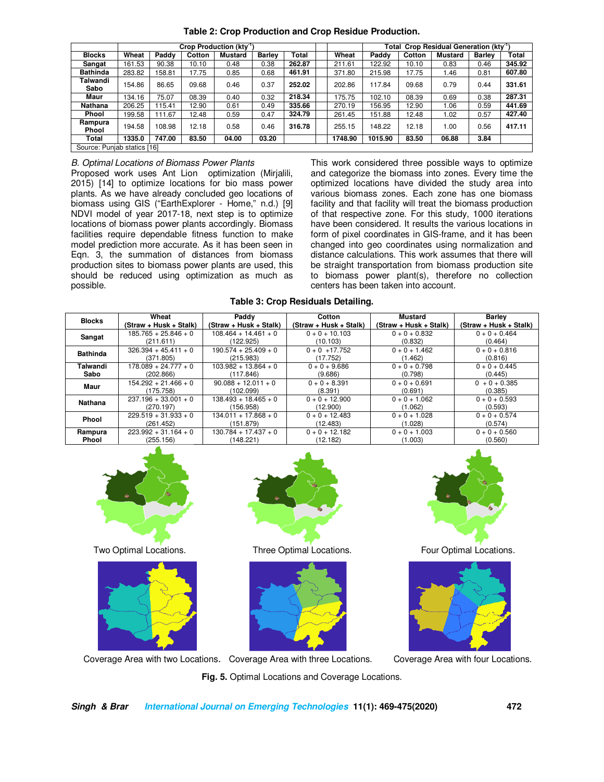| Table 2: Crop Production and Crop Residue Production. |  |  |                           |  |  |  |
|-------------------------------------------------------|--|--|---------------------------|--|--|--|
| Crop Production (kty <sup>-1</sup> )                  |  |  | <b>Total Crop Residua</b> |  |  |  |

|                               | Crop Production (ktv <sup>-1</sup> ) |        |        |         |               |        | Total Crop Residual Generation (kty <sup>-1</sup> |         |         |        |                |               |              |
|-------------------------------|--------------------------------------|--------|--------|---------|---------------|--------|---------------------------------------------------|---------|---------|--------|----------------|---------------|--------------|
| <b>Blocks</b>                 | Wheat                                | Paddy  | Cotton | Mustard | <b>Barley</b> | Total  |                                                   | Wheat   | Paddy   | Cotton | <b>Mustard</b> | <b>Barley</b> | <b>Total</b> |
| Sangat                        | 161.53                               | 90.38  | 10.10  | 0.48    | 0.38          | 262.87 |                                                   | 211.61  | 122.92  | 10.10  | 0.83           | 0.46          | 345.92       |
| <b>Bathinda</b>               | 283.82                               | 158.81 | 17.75  | 0.85    | 0.68          | 461.91 |                                                   | 371.80  | 215.98  | 17.75  | 1.46           | 0.81          | 607.80       |
| Talwandi<br>Sabo              | 154.86                               | 86.65  | 09.68  | 0.46    | 0.37          | 252.02 |                                                   | 202.86  | 117.84  | 09.68  | 0.79           | 0.44          | 331.61       |
| Maur                          | 134.16                               | 75.07  | 08.39  | 0.40    | 0.32          | 218.34 |                                                   | 175.75  | 102.10  | 08.39  | 0.69           | 0.38          | 287.31       |
| Nathana                       | 206.25                               | 115.41 | 12.90  | 0.61    | 0.49          | 335.66 |                                                   | 270.19  | 156.95  | 12.90  | 1.06           | 0.59          | 441.69       |
| <b>Phool</b>                  | 199.58                               | 111.67 | 12.48  | 0.59    | 0.47          | 324.79 |                                                   | 261.45  | 151.88  | 12.48  | 1.02           | 0.57          | 427.40       |
| Rampura<br>Phool              | 194.58                               | 108.98 | 12.18  | 0.58    | 0.46          | 316.78 |                                                   | 255.15  | 148.22  | 12.18  | 1.00           | 0.56          | 417.11       |
| Total                         | 1335.0                               | 747.00 | 83.50  | 04.00   | 03.20         |        |                                                   | 1748.90 | 1015.90 | 83.50  | 06.88          | 3.84          |              |
| Oranger Daughele, exerce from |                                      |        |        |         |               |        |                                                   |         |         |        |                |               |              |

Source: Punjab statics [16]

*B. Optimal Locations of Biomass Power Plants* 

Proposed work uses Ant Lion optimization (Mirjalili, 2015) [14] to optimize locations for bio mass power plants. As we have already concluded geo locations of biomass using GIS ("EarthExplorer - Home," n.d.) [9] NDVI model of year 2017-18, next step is to optimize locations of biomass power plants accordingly. Biomass facilities require dependable fitness function to make model prediction more accurate. As it has been seen in Eqn. 3, the summation of distances from biomass production sites to biomass power plants are used, this should be reduced using optimization as much as possible.

This work considered three possible ways to optimize and categorize the biomass into zones. Every time the optimized locations have divided the study area into various biomass zones. Each zone has one biomass facility and that facility will treat the biomass production of that respective zone. For this study, 1000 iterations have been considered. It results the various locations in form of pixel coordinates in GIS-frame, and it has been changed into geo coordinates using normalization and distance calculations. This work assumes that there will be straight transportation from biomass production site to biomass power plant(s), therefore no collection centers has been taken into account.

**Table 3: Crop Residuals Detailing.** 

| <b>Blocks</b>   | Wheat                  | Paddy                  | Cotton                 | Mustard                | <b>Barley</b>          |
|-----------------|------------------------|------------------------|------------------------|------------------------|------------------------|
|                 | (Straw + Husk + Stalk) | (Straw + Husk + Stalk) | (Straw + Husk + Stalk) | (Straw + Husk + Stalk) | (Straw + Husk + Stalk) |
| Sangat          | $185.765 + 25.846 + 0$ | $108.464 + 14.461 + 0$ | $0 + 0 + 10.103$       | $0 + 0 + 0.832$        | $0 + 0 + 0.464$        |
|                 | (211.611)              | (122.925)              | (10.103)               | (0.832)                | (0.464)                |
| <b>Bathinda</b> | $326.394 + 45.411 + 0$ | $190.574 + 25.409 + 0$ | $0 + 0 + 17.752$       | $0 + 0 + 1.462$        | $0 + 0 + 0.816$        |
|                 | (371.805)              | (215.983)              | (17.752)               | (1.462)                | (0.816)                |
| Talwandi        | $178.089 + 24.777 + 0$ | $103.982 + 13.864 + 0$ | $0 + 0 + 9.686$        | $0 + 0 + 0.798$        | $0 + 0 + 0.445$        |
| Sabo            | (202.866)              | (117.846)              | (9.686)                | (0.798)                | (0.445)                |
| Maur            | $154.292 + 21.466 + 0$ | $90.088 + 12.011 + 0$  | $0 + 0 + 8.391$        | $0 + 0 + 0.691$        | $0 + 0 + 0.385$        |
|                 | (175.758)              | (102.099)              | (8.391)                | (0.691)                | (0.385)                |
| Nathana         | $237.196 + 33.001 + 0$ | $138.493 + 18.465 + 0$ | $0 + 0 + 12.900$       | $0 + 0 + 1.062$        | $0 + 0 + 0.593$        |
|                 | (270.197)              | (156.958)              | (12.900)               | (1.062)                | (0.593)                |
| Phool           | $229.519 + 31.933 + 0$ | $134.011 + 17.868 + 0$ | $0 + 0 + 12.483$       | $0 + 0 + 1.028$        | $0 + 0 + 0.574$        |
|                 | (261.452)              | (151.879)              | (12.483)               | (1.028)                | (0.574)                |
| Rampura         | $223.992 + 31.164 + 0$ | $130.784 + 17.437 + 0$ | $0 + 0 + 12.182$       | $0 + 0 + 1.003$        | $0 + 0 + 0.560$        |
| Phool           | (255.156)              | (148.221)              | (12.182)               | (1.003)                | (0.560)                |









Two Optimal Locations. Three Optimal Locations. Four Optimal Locations*.* 



Coverage Area with two Locations. Coverage Area with three Locations.Coverage Area with four Locations.

**Fig. 5.** Optimal Locations and Coverage Locations.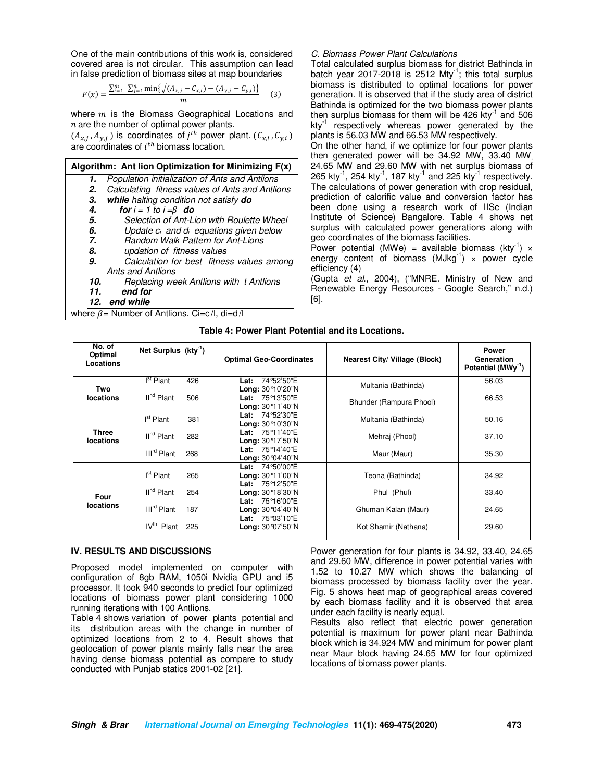One of the main contributions of this work is, considered covered area is not circular. This assumption can lead in false prediction of biomass sites at map boundaries

$$
F(x) = \frac{\sum_{i=1}^{m} \sum_{j=1}^{n} \min\{\sqrt{(A_{x,j} - C_{x,i}) - (A_{y,j} - C_{y,i})}\}}{m}
$$
(3)

where  $m$  is the Biomass Geographical Locations and  $n$  are the number of optimal power plants.

 $(A_{x,j}, A_{y,j})$  is coordinates of  $j^{th}$  power plant.  $(C_{x,i}, C_{y,i})$ are coordinates of  $i^{th}$  biomass location.

#### **Algorithm: Ant lion Optimization for Minimizing F(x) 1.** *Population initialization of Ants and Antlions* **2.** *Calculating fitness values of Ants and Antlions*  **3. while** *halting condition not satisfy* **do 4. for**  $i = 1$  to  $i = \beta$  **do 5.** *Selection of Ant-Lion with Roulette Wheel*  **6.** *Update ci and di equations given below*  **7.** *Random Walk Pattern for Ant-Lions*  **8.** *updation of fitness values*  **9.** *Calculation for best fitness values among Ants and Antlions*  **10.** *Replacing week Antlions with t Antlions*  end for **12. end while**

where  $\beta$  = Number of Antlions. Ci=c<sub>i</sub>/l, di=d<sub>i</sub>/l

#### *C. Biomass Power Plant Calculations*

Total calculated surplus biomass for district Bathinda in batch year 2017-2018 is 2512 Mty<sup>-1</sup>; this total surplus biomass is distributed to optimal locations for power generation. It is observed that if the study area of district Bathinda is optimized for the two biomass power plants then surplus biomass for them will be 426 kty $^{-1}$  and 506  $kty^{-1}$  respectively whereas power generated by the plants is 56.03 MW and 66.53 MW respectively.

On the other hand, if we optimize for four power plants then generated power will be 34.92 MW, 33.40 MW, 24.65 MW and 29.60 MW with net surplus biomass of 265 kty<sup>-1</sup>, 254 kty<sup>-1</sup>, 187 kty<sup>-1</sup> and 225 kty<sup>-1</sup> respectively. The calculations of power generation with crop residual, prediction of calorific value and conversion factor has been done using a research work of IISc (Indian Institute of Science) Bangalore. Table 4 shows net surplus with calculated power generations along with geo coordinates of the biomass facilities.

Power potential (MWe) = available biomass ( $kty^{-1}$ )  $\times$ energy content of biomass  $(MJkg^{-1}) \times power$  cycle efficiency (4)

(Gupta *et al*., 2004), ("MNRE. Ministry of New and Renewable Energy Resources - Google Search," n.d.) [6].

#### **Table 4: Power Plant Potential and its Locations.**

| No. of<br>Optimal<br>Locations | Net Surplus $(kty^{-1})$ |     | <b>Optimal Geo-Coordinates</b>                                                     | Nearest City/ Village (Block) | <b>Power</b><br>Generation<br>Potential (MWy <sup>-1</sup> ) |
|--------------------------------|--------------------------|-----|------------------------------------------------------------------------------------|-------------------------------|--------------------------------------------------------------|
| Two                            | I <sup>st</sup> Plant    | 426 | 74°52'50"E<br>Lat:<br><b>Long: 30 °10'20"N</b>                                     | Multania (Bathinda)           | 56.03                                                        |
| locations                      | II <sup>nd</sup> Plant   | 506 | Lat: $75^{\circ}13'50''E$<br><b>Long:</b> $30^{\circ}11'40''N$                     | Bhunder (Rampura Phool)       | 66.53                                                        |
| Three<br>locations             | I <sup>st</sup> Plant    | 381 | 74°52'30"E<br>Lat:<br><b>Long:</b> $30^{\circ}10'30''N$                            | Multania (Bathinda)           | 50.16                                                        |
|                                | II <sup>nd</sup> Plant   | 282 | 75°11'40"E<br>Lat:<br>Long: 30°17'50"N                                             | Mehraj (Phool)                | 37.10                                                        |
|                                | III <sup>rd</sup> Plant  | 268 | Lat: $75^{\circ}14'40''E$<br><b>Long: 30 °04'40"N</b>                              | Maur (Maur)                   | 35.30                                                        |
| Four<br>locations              | I <sup>st</sup> Plant    | 265 | <b>Lat:</b> $74^{\circ}50'00''E$<br><b>Long: 30 °11'00"N</b><br>75°12'50"E<br>Lat: | Teona (Bathinda)              | 34.92                                                        |
|                                | II <sup>nd</sup> Plant   | 254 | Long: 30°18'30"N<br>75°16'00"E<br>Lat:                                             | Phul (Phul)                   | 33.40                                                        |
|                                | III <sup>rd</sup> Plant  | 187 | Long: 30 °04'40"N<br>Lat: $75^{\circ}03'10''E$                                     | Ghuman Kalan (Maur)           | 24.65                                                        |
|                                | IV <sup>th</sup> Plant   | 225 | <b>Long: 30 °07'50"N</b>                                                           | Kot Shamir (Nathana)          | 29.60                                                        |

#### **IV. RESULTS AND DISCUSSIONS**

Proposed model implemented on computer with configuration of 8gb RAM, 1050i Nvidia GPU and i5 processor. It took 940 seconds to predict four optimized locations of biomass power plant considering 1000 running iterations with 100 Antlions.

Table 4 shows variation of power plants potential and its distribution areas with the change in number of optimized locations from 2 to 4. Result shows that geolocation of power plants mainly falls near the area having dense biomass potential as compare to study conducted with Punjab statics 2001-02 [21].

Power generation for four plants is 34.92, 33.40, 24.65 and 29.60 MW, difference in power potential varies with 1.52 to 10.27 MW which shows the balancing of biomass processed by biomass facility over the year. Fig. 5 shows heat map of geographical areas covered by each biomass facility and it is observed that area under each facility is nearly equal.

Results also reflect that electric power generation potential is maximum for power plant near Bathinda block which is 34.924 MW and minimum for power plant near Maur block having 24.65 MW for four optimized locations of biomass power plants.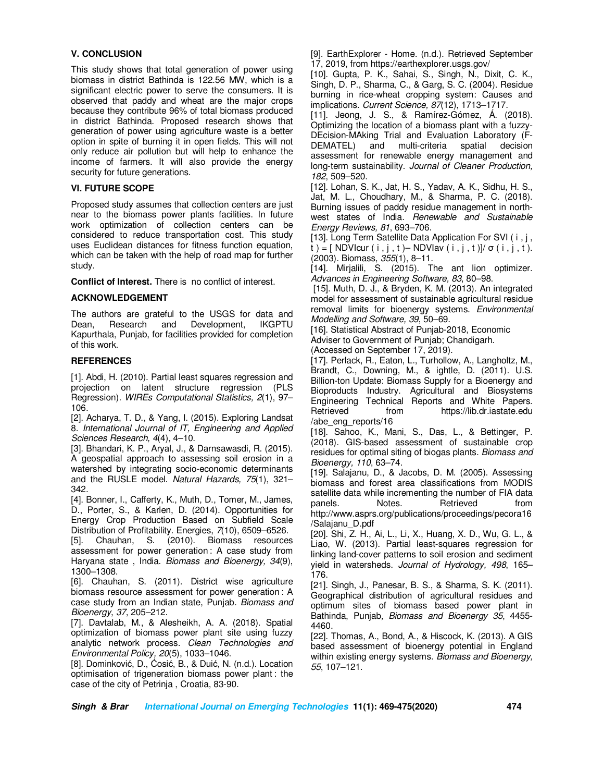# **V. CONCLUSION**

This study shows that total generation of power using biomass in district Bathinda is 122.56 MW, which is a significant electric power to serve the consumers. It is observed that paddy and wheat are the major crops because they contribute 96% of total biomass produced in district Bathinda. Proposed research shows that generation of power using agriculture waste is a better option in spite of burning it in open fields. This will not only reduce air pollution but will help to enhance the income of farmers. It will also provide the energy security for future generations.

#### **VI. FUTURE SCOPE**

Proposed study assumes that collection centers are just near to the biomass power plants facilities. In future work optimization of collection centers can be considered to reduce transportation cost. This study uses Euclidean distances for fitness function equation, which can be taken with the help of road map for further study.

**Conflict of Interest.** There is no conflict of interest.

# **ACKNOWLEDGEMENT**

The authors are grateful to the USGS for data and Dean, Research and Development, IKGPTU Kapurthala, Punjab, for facilities provided for completion of this work.

# **REFERENCES**

[1]. Abdi, H. (2010). Partial least squares regression and projection on latent structure regression (PLS Regression). *WIREs Computational Statistics, 2*(1), 97– 106.

[2]. Acharya, T. D., & Yang, I. (2015). Exploring Landsat 8. *International Journal of IT, Engineering and Applied Sciences Research, 4*(4), 4–10.

[3]. Bhandari, K. P., Aryal, J., & Darnsawasdi, R. (2015). A geospatial approach to assessing soil erosion in a watershed by integrating socio-economic determinants and the RUSLE model. *Natural Hazards, 75*(1), 321– 342.

[4]. Bonner, I., Cafferty, K., Muth, D., Tomer, M., James, D., Porter, S., & Karlen, D. (2014). Opportunities for Energy Crop Production Based on Subfield Scale

Distribution of Profitability. Energies, 7(10), 6509–6526.<br>[5]. Chauhan, S. (2010). Biomass resources (2010). Biomass resources assessment for power generation : A case study from Haryana state , India. *Biomass and Bioenergy, 34*(9), 1300–1308.

[6]. Chauhan, S. (2011). District wise agriculture biomass resource assessment for power generation : A case study from an Indian state, Punjab. *Biomass and Bioenergy*, *37*, 205–212.

[7]. Davtalab, M., & Alesheikh, A. A. (2018). Spatial optimization of biomass power plant site using fuzzy analytic network process. *Clean Technologies and Environmental Policy, 20*(5), 1033–1046.

[8]. Dominković, D., Ćosić, B., & Duić, N. (n.d.). Location optimisation of trigeneration biomass power plant : the case of the city of Petrinja , Croatia, 83-90.

[9]. EarthExplorer - Home. (n.d.). Retrieved September 17, 2019, from https://earthexplorer.usgs.gov/

[10]. Gupta, P. K., Sahai, S., Singh, N., Dixit, C. K., Singh, D. P., Sharma, C., & Garg, S. C. (2004). Residue burning in rice-wheat cropping system: Causes and implications. *Current Science, 87*(12), 1713–1717.

[11]. Jeong, J. S., & Ramírez-Gómez, Á. (2018). Optimizing the location of a biomass plant with a fuzzy-DEcision-MAking Trial and Evaluation Laboratory (F-DEMATEL) and multi-criteria spatial decision assessment for renewable energy management and long-term sustainability. *Journal of Cleaner Production, 182*, 509–520.

[12]. Lohan, S. K., Jat, H. S., Yadav, A. K., Sidhu, H. S., Jat, M. L., Choudhary, M., & Sharma, P. C. (2018). Burning issues of paddy residue management in northwest states of India. *Renewable and Sustainable Energy Reviews, 81*, 693–706.

[13]. Long Term Satellite Data Application For SVI (i, j, t ) = [ NDVlcur ( i , j , t ) – NDVlav ( i , j , t )]/  $\sigma$  ( i , j , t ). (2003). Biomass, *355*(1), 8–11.

[14]. Mirjalili, S. (2015). The ant lion optimizer. *Advances in Engineering Software, 83*, 80–98.

 [15]. Muth, D. J., & Bryden, K. M. (2013). An integrated model for assessment of sustainable agricultural residue removal limits for bioenergy systems. *Environmental Modelling and Software, 39*, 50–69.

[16]. Statistical Abstract of Punjab-2018, Economic Adviser to Government of Punjab; Chandigarh.

(Accessed on September 17, 2019).

[17]. Perlack, R., Eaton, L., Turhollow, A., Langholtz, M., Brandt, C., Downing, M., & ightle, D. (2011). U.S. Billion-ton Update: Biomass Supply for a Bioenergy and Bioproducts Industry. Agricultural and Biosystems Engineering Technical Reports and White Papers. Retrieved from https://lib.dr.iastate.edu /abe\_eng\_reports/16

[18]. Sahoo, K., Mani, S., Das, L., & Bettinger, P. (2018). GIS-based assessment of sustainable crop residues for optimal siting of biogas plants. *Biomass and Bioenergy, 110*, 63–74.

[19]. Salajanu, D., & Jacobs, D. M. (2005). Assessing biomass and forest area classifications from MODIS satellite data while incrementing the number of FIA data panels. Notes. Retrieved from http://www.asprs.org/publications/proceedings/pecora16 /Salajanu\_D.pdf

[20]. Shi, Z. H., Ai, L., Li, X., Huang, X. D., Wu, G. L., & Liao, W. (2013). Partial least-squares regression for linking land-cover patterns to soil erosion and sediment yield in watersheds. *Journal of Hydrology, 498*, 165– 176.

[21]. Singh, J., Panesar, B. S., & Sharma, S. K. (2011). Geographical distribution of agricultural residues and optimum sites of biomass based power plant in Bathinda, Punjab*, Biomass and Bioenergy 35*, 4455- 4460.

[22]. Thomas, A., Bond, A., & Hiscock, K. (2013). A GIS based assessment of bioenergy potential in England within existing energy systems. *Biomass and Bioenergy, 55*, 107–121.